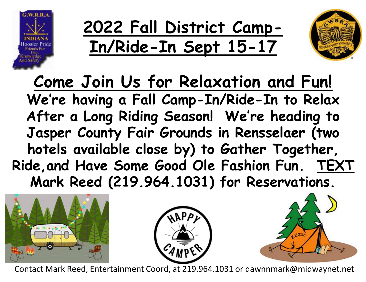

**2022 Fall District Camp-In/Ride-In Sept 15-17**



**Come Join Us for Relaxation and Fun! We're having a Fall Camp-In/Ride-In to Relax After a Long Riding Season! We're heading to Jasper County Fair Grounds in Rensselaer (two hotels available close by) to Gather Together, Ride,and Have Some Good Ole Fashion Fun. TEXT Mark Reed (219.964.1031) for Reservations.** 







Contact Mark Reed, Entertainment Coord, at 219.964.1031 or dawnnmark@midwaynet.net